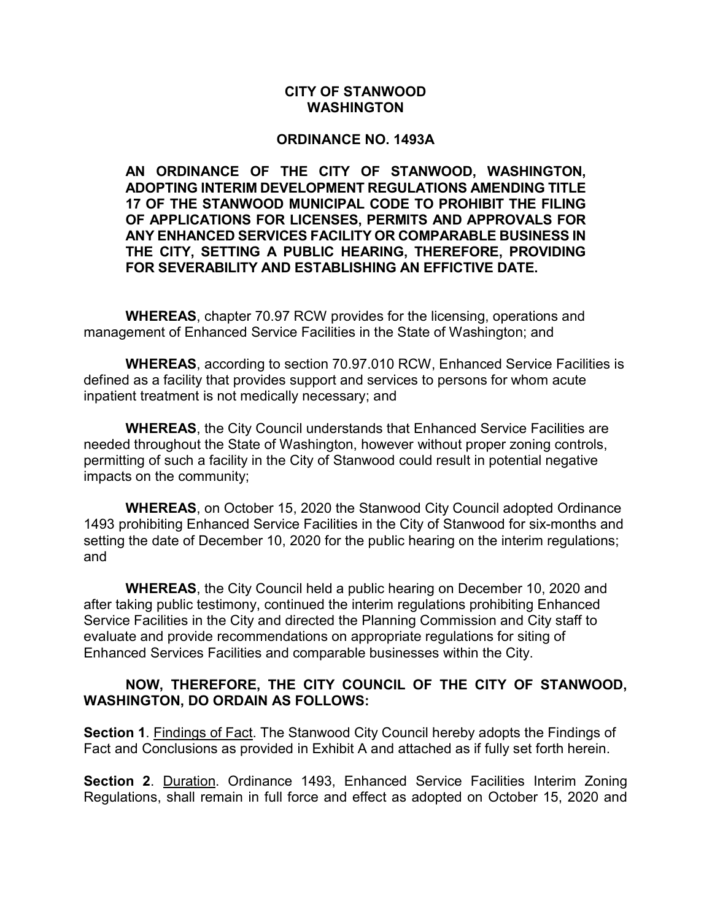## CITY OF STANWOOD WASHINGTON

## ORDINANCE NO. 1493A

AN ORDINANCE OF THE CITY OF STANWOOD, WASHINGTON, ADOPTING INTERIM DEVELOPMENT REGULATIONS AMENDING TITLE 17 OF THE STANWOOD MUNICIPAL CODE TO PROHIBIT THE FILING OF APPLICATIONS FOR LICENSES, PERMITS AND APPROVALS FOR ANY ENHANCED SERVICES FACILITY OR COMPARABLE BUSINESS IN THE CITY, SETTING A PUBLIC HEARING, THEREFORE, PROVIDING FOR SEVERABILITY AND ESTABLISHING AN EFFICTIVE DATE.

WHEREAS, chapter 70.97 RCW provides for the licensing, operations and management of Enhanced Service Facilities in the State of Washington; and

WHEREAS, according to section 70.97.010 RCW, Enhanced Service Facilities is defined as a facility that provides support and services to persons for whom acute inpatient treatment is not medically necessary; and

WHEREAS, the City Council understands that Enhanced Service Facilities are needed throughout the State of Washington, however without proper zoning controls, permitting of such a facility in the City of Stanwood could result in potential negative impacts on the community;

WHEREAS, on October 15, 2020 the Stanwood City Council adopted Ordinance 1493 prohibiting Enhanced Service Facilities in the City of Stanwood for six-months and setting the date of December 10, 2020 for the public hearing on the interim regulations; and

WHEREAS, the City Council held a public hearing on December 10, 2020 and after taking public testimony, continued the interim regulations prohibiting Enhanced Service Facilities in the City and directed the Planning Commission and City staff to evaluate and provide recommendations on appropriate regulations for siting of Enhanced Services Facilities and comparable businesses within the City.

## NOW, THEREFORE, THE CITY COUNCIL OF THE CITY OF STANWOOD, WASHINGTON, DO ORDAIN AS FOLLOWS:

Section 1. Findings of Fact. The Stanwood City Council hereby adopts the Findings of Fact and Conclusions as provided in Exhibit A and attached as if fully set forth herein.

Section 2. Duration. Ordinance 1493, Enhanced Service Facilities Interim Zoning Regulations, shall remain in full force and effect as adopted on October 15, 2020 and